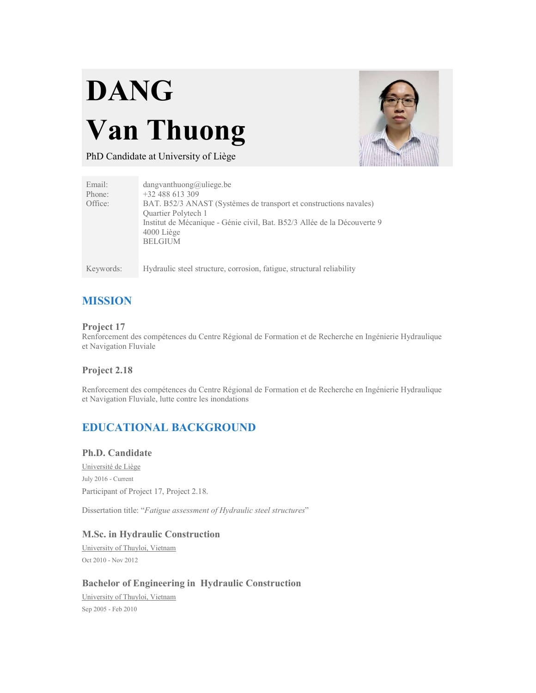# DANG Van Thuong



PhD Candidate at University of Liège

| Email:    | $d$ angvanthuong@uliege.be                                               |
|-----------|--------------------------------------------------------------------------|
| Phone:    | $+32488613309$                                                           |
| Office:   | BAT. B52/3 ANAST (Systèmes de transport et constructions navales)        |
|           | <b>Ouartier Polytech 1</b>                                               |
|           | Institut de Mécanique - Génie civil, Bat. B52/3 Allée de la Découverte 9 |
|           | $4000$ Liège                                                             |
|           | <b>BELGIUM</b>                                                           |
|           |                                                                          |
|           |                                                                          |
| Keywords: | Hydraulic steel structure, corrosion, fatigue, structural reliability    |

# MISSION

#### Project 17

Renforcement des compétences du Centre Régional de Formation et de Recherche en Ingénierie Hydraulique et Navigation Fluviale

### Project 2.18

Renforcement des compétences du Centre Régional de Formation et de Recherche en Ingénierie Hydraulique et Navigation Fluviale, lutte contre les inondations

# EDUCATIONAL BACKGROUND

#### Ph.D. Candidate

Université de Liège July 2016 - Current Participant of Project 17, Project 2.18.

Dissertation title: "Fatigue assessment of Hydraulic steel structures"

#### M.Sc. in Hydraulic Construction

University of Thuyloi, Vietnam Oct 2010 - Nov 2012

# Bachelor of Engineering in Hydraulic Construction<br>University of Thuyloi, Vietnam

Sep 2005 - Feb 2010